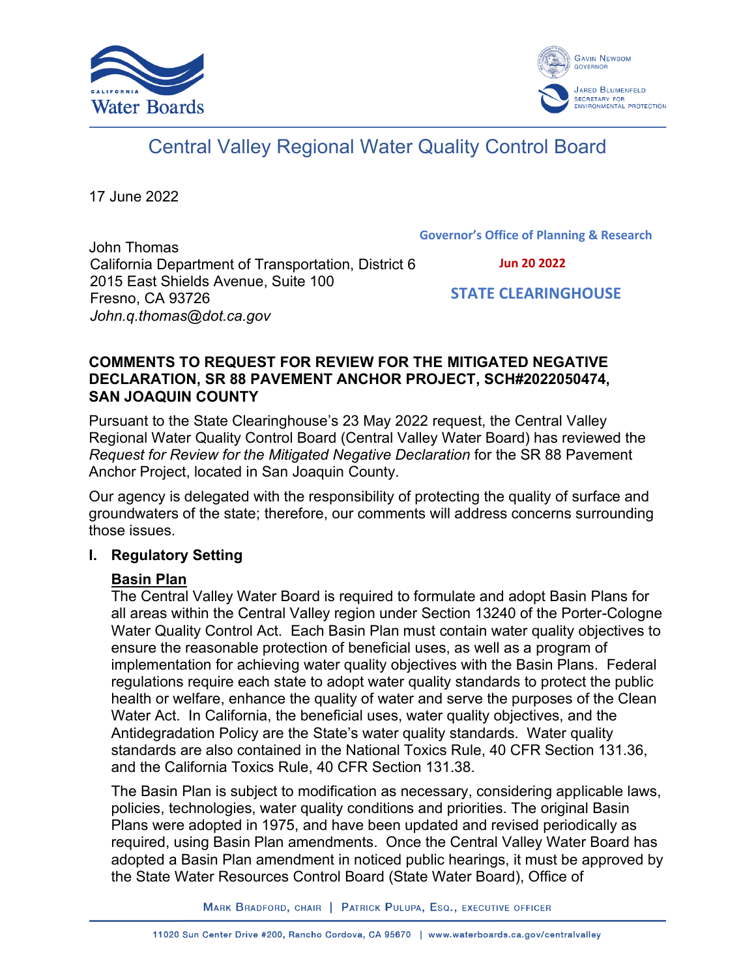



# Central Valley Regional Water Quality Control Board

17 June 2022

**Governor's Office of Planning & Research**

John Thomas California Department of Transportation, District 6 2015 East Shields Avenue, Suite 100 Fresno, CA 93726 *John.q.thomas@dot.ca.gov*

 **Jun 20 2022**

 **STATE CLEARINGHOUSE**

## **COMMENTS TO REQUEST FOR REVIEW FOR THE MITIGATED NEGATIVE DECLARATION, SR 88 PAVEMENT ANCHOR PROJECT, SCH#2022050474, SAN JOAQUIN COUNTY**

Pursuant to the State Clearinghouse's 23 May 2022 request, the Central Valley Regional Water Quality Control Board (Central Valley Water Board) has reviewed the *Request for Review for the Mitigated Negative Declaration* for the SR 88 Pavement Anchor Project, located in San Joaquin County.

Our agency is delegated with the responsibility of protecting the quality of surface and groundwaters of the state; therefore, our comments will address concerns surrounding those issues.

# **I. Regulatory Setting**

# **Basin Plan**

The Central Valley Water Board is required to formulate and adopt Basin Plans for all areas within the Central Valley region under Section 13240 of the Porter-Cologne Water Quality Control Act. Each Basin Plan must contain water quality objectives to ensure the reasonable protection of beneficial uses, as well as a program of implementation for achieving water quality objectives with the Basin Plans. Federal regulations require each state to adopt water quality standards to protect the public health or welfare, enhance the quality of water and serve the purposes of the Clean Water Act. In California, the beneficial uses, water quality objectives, and the Antidegradation Policy are the State's water quality standards. Water quality standards are also contained in the National Toxics Rule, 40 CFR Section 131.36, and the California Toxics Rule, 40 CFR Section 131.38.

The Basin Plan is subject to modification as necessary, considering applicable laws, policies, technologies, water quality conditions and priorities. The original Basin Plans were adopted in 1975, and have been updated and revised periodically as required, using Basin Plan amendments. Once the Central Valley Water Board has adopted a Basin Plan amendment in noticed public hearings, it must be approved by the State Water Resources Control Board (State Water Board), Office of

MARK BRADFORD, CHAIR | PATRICK PULUPA, ESQ., EXECUTIVE OFFICER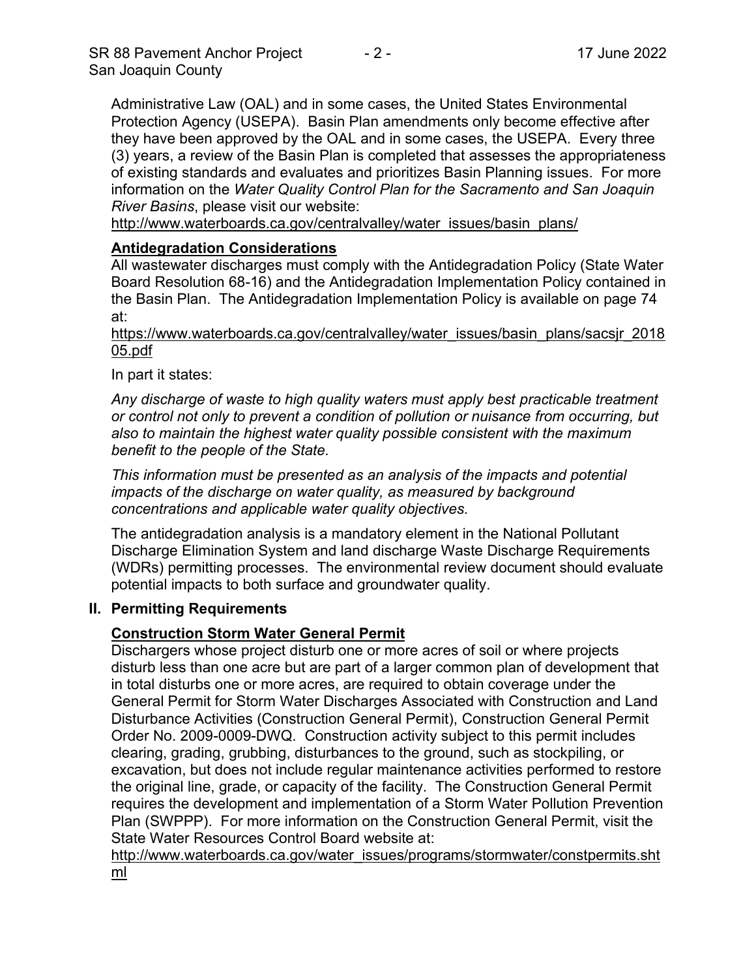Administrative Law (OAL) and in some cases, the United States Environmental Protection Agency (USEPA). Basin Plan amendments only become effective after they have been approved by the OAL and in some cases, the USEPA. Every three (3) years, a review of the Basin Plan is completed that assesses the appropriateness of existing standards and evaluates and prioritizes Basin Planning issues. For more information on the *Water Quality Control Plan for the Sacramento and San Joaquin River Basins*, please visit our website:

[http://www.waterboards.ca.gov/centralvalley/water\\_issues/basin\\_plans/](http://www.waterboards.ca.gov/centralvalley/water_issues/basin_plans/)

# **Antidegradation Considerations**

All wastewater discharges must comply with the Antidegradation Policy (State Water Board Resolution 68-16) and the Antidegradation Implementation Policy contained in the Basin Plan. The Antidegradation Implementation Policy is available on page 74 at:

https://www.waterboards.ca.gov/centralvalley/water\_issues/basin\_plans/sacsjr\_2018 05.pdf

In part it states:

*Any discharge of waste to high quality waters must apply best practicable treatment or control not only to prevent a condition of pollution or nuisance from occurring, but also to maintain the highest water quality possible consistent with the maximum benefit to the people of the State.*

*This information must be presented as an analysis of the impacts and potential impacts of the discharge on water quality, as measured by background concentrations and applicable water quality objectives.*

The antidegradation analysis is a mandatory element in the National Pollutant Discharge Elimination System and land discharge Waste Discharge Requirements (WDRs) permitting processes. The environmental review document should evaluate potential impacts to both surface and groundwater quality.

#### **II. Permitting Requirements**

#### **Construction Storm Water General Permit**

Dischargers whose project disturb one or more acres of soil or where projects disturb less than one acre but are part of a larger common plan of development that in total disturbs one or more acres, are required to obtain coverage under the General Permit for Storm Water Discharges Associated with Construction and Land Disturbance Activities (Construction General Permit), Construction General Permit Order No. 2009-0009-DWQ. Construction activity subject to this permit includes clearing, grading, grubbing, disturbances to the ground, such as stockpiling, or excavation, but does not include regular maintenance activities performed to restore the original line, grade, or capacity of the facility. The Construction General Permit requires the development and implementation of a Storm Water Pollution Prevention Plan (SWPPP). For more information on the Construction General Permit, visit the State Water Resources Control Board website at:

[http://www.waterboards.ca.gov/water\\_issues/programs/stormwater/constpermits.sht](http://www.waterboards.ca.gov/water_issues/programs/stormwater/constpermits.shtml) [ml](http://www.waterboards.ca.gov/water_issues/programs/stormwater/constpermits.shtml)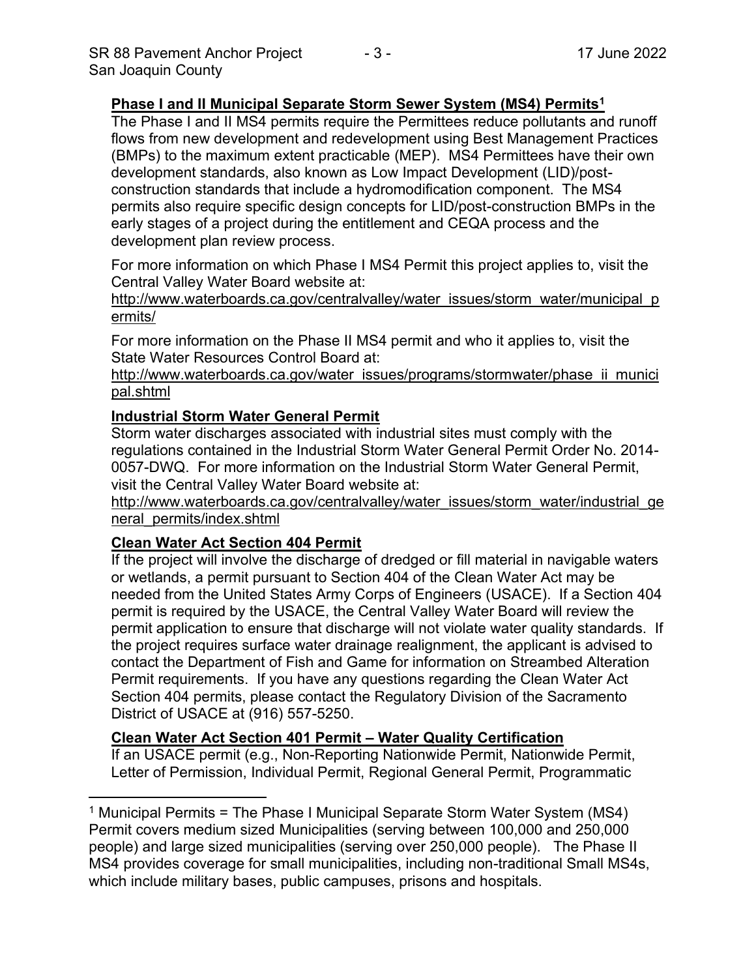#### **Phase I and II Municipal Separate Storm Sewer System (MS4) Permits<sup>1</sup>**

The Phase I and II MS4 permits require the Permittees reduce pollutants and runoff flows from new development and redevelopment using Best Management Practices (BMPs) to the maximum extent practicable (MEP). MS4 Permittees have their own development standards, also known as Low Impact Development (LID)/postconstruction standards that include a hydromodification component. The MS4 permits also require specific design concepts for LID/post-construction BMPs in the early stages of a project during the entitlement and CEQA process and the development plan review process.

For more information on which Phase I MS4 Permit this project applies to, visit the Central Valley Water Board website at:

http://www.waterboards.ca.gov/centralvalley/water\_issues/storm\_water/municipal\_p ermits/

For more information on the Phase II MS4 permit and who it applies to, visit the State Water Resources Control Board at:

http://www.waterboards.ca.gov/water\_issues/programs/stormwater/phase\_ii\_munici pal.shtml

#### **Industrial Storm Water General Permit**

Storm water discharges associated with industrial sites must comply with the regulations contained in the Industrial Storm Water General Permit Order No. 2014- 0057-DWQ. For more information on the Industrial Storm Water General Permit, visit the Central Valley Water Board website at:

http://www.waterboards.ca.gov/centralvalley/water\_issues/storm\_water/industrial\_ge neral\_permits/index.shtml

#### **Clean Water Act Section 404 Permit**

If the project will involve the discharge of dredged or fill material in navigable waters or wetlands, a permit pursuant to Section 404 of the Clean Water Act may be needed from the United States Army Corps of Engineers (USACE). If a Section 404 permit is required by the USACE, the Central Valley Water Board will review the permit application to ensure that discharge will not violate water quality standards. If the project requires surface water drainage realignment, the applicant is advised to contact the Department of Fish and Game for information on Streambed Alteration Permit requirements. If you have any questions regarding the Clean Water Act Section 404 permits, please contact the Regulatory Division of the Sacramento District of USACE at (916) 557-5250.

#### **Clean Water Act Section 401 Permit – Water Quality Certification**

If an USACE permit (e.g., Non-Reporting Nationwide Permit, Nationwide Permit, Letter of Permission, Individual Permit, Regional General Permit, Programmatic

<sup>&</sup>lt;sup>1</sup> Municipal Permits = The Phase I Municipal Separate Storm Water System (MS4) Permit covers medium sized Municipalities (serving between 100,000 and 250,000 people) and large sized municipalities (serving over 250,000 people). The Phase II MS4 provides coverage for small municipalities, including non-traditional Small MS4s, which include military bases, public campuses, prisons and hospitals.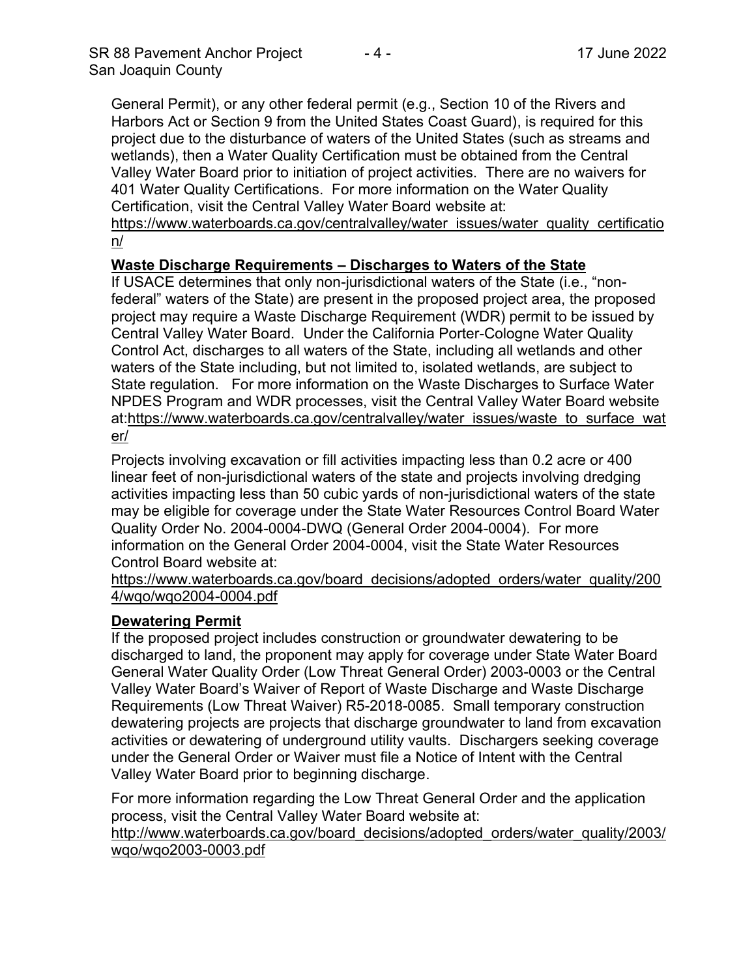General Permit), or any other federal permit (e.g., Section 10 of the Rivers and Harbors Act or Section 9 from the United States Coast Guard), is required for this project due to the disturbance of waters of the United States (such as streams and wetlands), then a Water Quality Certification must be obtained from the Central Valley Water Board prior to initiation of project activities. There are no waivers for 401 Water Quality Certifications. For more information on the Water Quality Certification, visit the Central Valley Water Board website at:

https://www.waterboards.ca.gov/centralvalley/water\_issues/water\_quality\_certificatio n/

## **Waste Discharge Requirements – Discharges to Waters of the State**

If USACE determines that only non-jurisdictional waters of the State (i.e., "nonfederal" waters of the State) are present in the proposed project area, the proposed project may require a Waste Discharge Requirement (WDR) permit to be issued by Central Valley Water Board. Under the California Porter-Cologne Water Quality Control Act, discharges to all waters of the State, including all wetlands and other waters of the State including, but not limited to, isolated wetlands, are subject to State regulation. For more information on the Waste Discharges to Surface Water NPDES Program and WDR processes, visit the Central Valley Water Board website at:https://www.waterboards.ca.gov/centralvalley/water\_issues/waste\_to\_surface\_wat er/

Projects involving excavation or fill activities impacting less than 0.2 acre or 400 linear feet of non-jurisdictional waters of the state and projects involving dredging activities impacting less than 50 cubic yards of non-jurisdictional waters of the state may be eligible for coverage under the State Water Resources Control Board Water Quality Order No. 2004-0004-DWQ (General Order 2004-0004). For more information on the General Order 2004-0004, visit the State Water Resources Control Board website at:

https://www.waterboards.ca.gov/board\_decisions/adopted\_orders/water\_quality/200 4/wqo/wqo2004-0004.pdf

#### **Dewatering Permit**

If the proposed project includes construction or groundwater dewatering to be discharged to land, the proponent may apply for coverage under State Water Board General Water Quality Order (Low Threat General Order) 2003-0003 or the Central Valley Water Board's Waiver of Report of Waste Discharge and Waste Discharge Requirements (Low Threat Waiver) R5-2018-0085. Small temporary construction dewatering projects are projects that discharge groundwater to land from excavation activities or dewatering of underground utility vaults. Dischargers seeking coverage under the General Order or Waiver must file a Notice of Intent with the Central Valley Water Board prior to beginning discharge.

For more information regarding the Low Threat General Order and the application process, visit the Central Valley Water Board website at:

http://www.waterboards.ca.gov/board decisions/adopted orders/water quality/2003/ wqo/wqo2003-0003.pdf